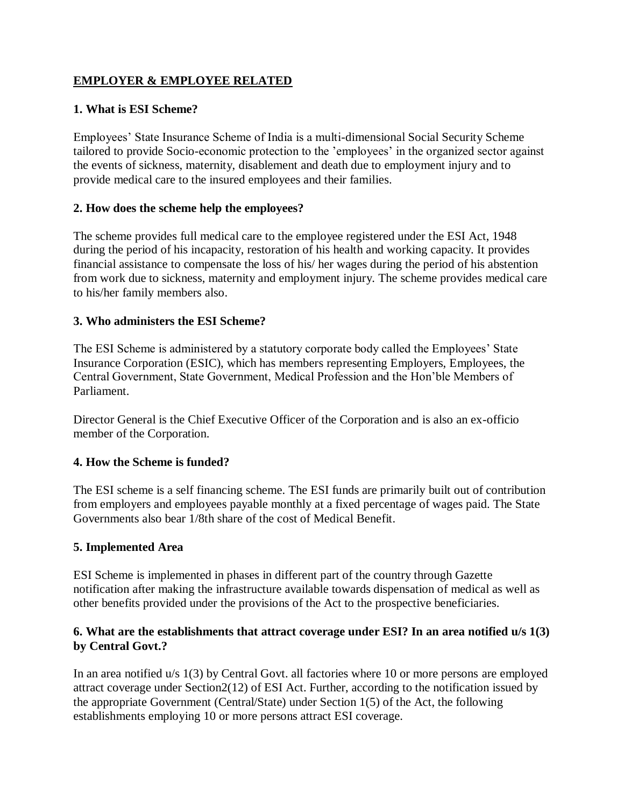## **EMPLOYER & EMPLOYEE RELATED**

### **1. What is ESI Scheme?**

Employees' State Insurance Scheme of India is a multi-dimensional Social Security Scheme tailored to provide Socio-economic protection to the 'employees' in the organized sector against the events of sickness, maternity, disablement and death due to employment injury and to provide medical care to the insured employees and their families.

### **2. How does the scheme help the employees?**

The scheme provides full medical care to the employee registered under the ESI Act, 1948 during the period of his incapacity, restoration of his health and working capacity. It provides financial assistance to compensate the loss of his/ her wages during the period of his abstention from work due to sickness, maternity and employment injury. The scheme provides medical care to his/her family members also.

### **3. Who administers the ESI Scheme?**

The ESI Scheme is administered by a statutory corporate body called the Employees' State Insurance Corporation (ESIC), which has members representing Employers, Employees, the Central Government, State Government, Medical Profession and the Hon'ble Members of Parliament.

Director General is the Chief Executive Officer of the Corporation and is also an ex-officio member of the Corporation.

# **4. How the Scheme is funded?**

The ESI scheme is a self financing scheme. The ESI funds are primarily built out of contribution from employers and employees payable monthly at a fixed percentage of wages paid. The State Governments also bear 1/8th share of the cost of Medical Benefit.

### **5. Implemented Area**

ESI Scheme is implemented in phases in different part of the country through Gazette notification after making the infrastructure available towards dispensation of medical as well as other benefits provided under the provisions of the Act to the prospective beneficiaries.

### **6. What are the establishments that attract coverage under ESI? In an area notified u/s 1(3) by Central Govt.?**

In an area notified u/s 1(3) by Central Govt. all factories where 10 or more persons are employed attract coverage under Section2(12) of ESI Act. Further, according to the notification issued by the appropriate Government (Central/State) under Section 1(5) of the Act, the following establishments employing 10 or more persons attract ESI coverage.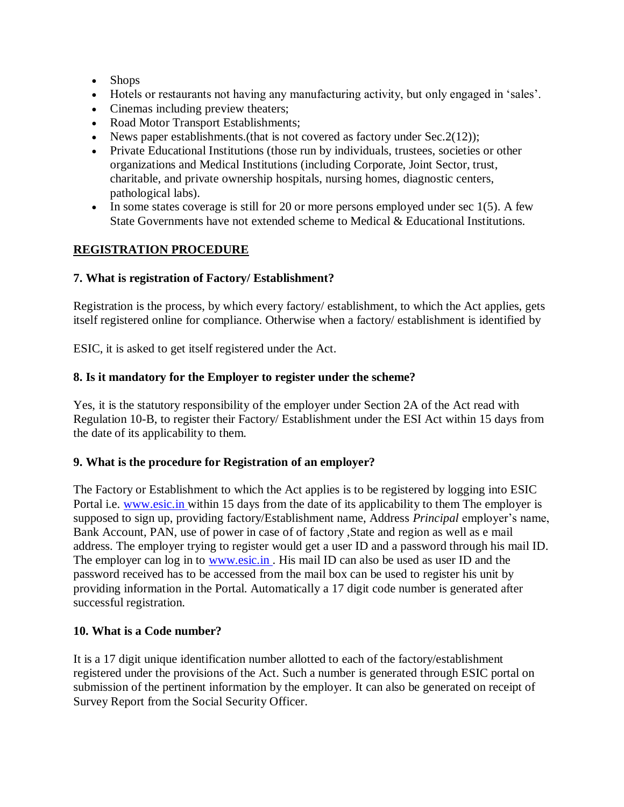- Shops
- Hotels or restaurants not having any manufacturing activity, but only engaged in 'sales'.
- Cinemas including preview theaters;
- Road Motor Transport Establishments;
- News paper establishments.(that is not covered as factory under  $Sec.2(12)$ );
- Private Educational Institutions (those run by individuals, trustees, societies or other organizations and Medical Institutions (including Corporate, Joint Sector, trust, charitable, and private ownership hospitals, nursing homes, diagnostic centers, pathological labs).
- $\bullet$  In some states coverage is still for 20 or more persons employed under sec 1(5). A few State Governments have not extended scheme to Medical & Educational Institutions.

## **REGISTRATION PROCEDURE**

### **7. What is registration of Factory/ Establishment?**

Registration is the process, by which every factory/ establishment, to which the Act applies, gets itself registered online for compliance. Otherwise when a factory/ establishment is identified by

ESIC, it is asked to get itself registered under the Act.

#### **8. Is it mandatory for the Employer to register under the scheme?**

Yes, it is the statutory responsibility of the employer under Section 2A of the Act read with Regulation 10-B, to register their Factory/ Establishment under the ESI Act within 15 days from the date of its applicability to them.

### **9. What is the procedure for Registration of an employer?**

The Factory or Establishment to which the Act applies is to be registered by logging into ESIC Portal i.e. [www.esic.in w](http://www.esic.in/)ithin 15 days from the date of its applicability to them The employer is supposed to sign up, providing factory/Establishment name, Address *Principal* employer's name, Bank Account, PAN, use of power in case of of factory ,State and region as well as e mail address. The employer trying to register would get a user ID and a password through his mail ID. The employer can log in to www.esic.in. His mail ID can also be used as user ID and the password received has to be accessed from the mail box can be used to register his unit by providing information in the Portal. Automatically a 17 digit code number is generated after successful registration.

### **10. What is a Code number?**

It is a 17 digit unique identification number allotted to each of the factory/establishment registered under the provisions of the Act. Such a number is generated through ESIC portal on submission of the pertinent information by the employer. It can also be generated on receipt of Survey Report from the Social Security Officer.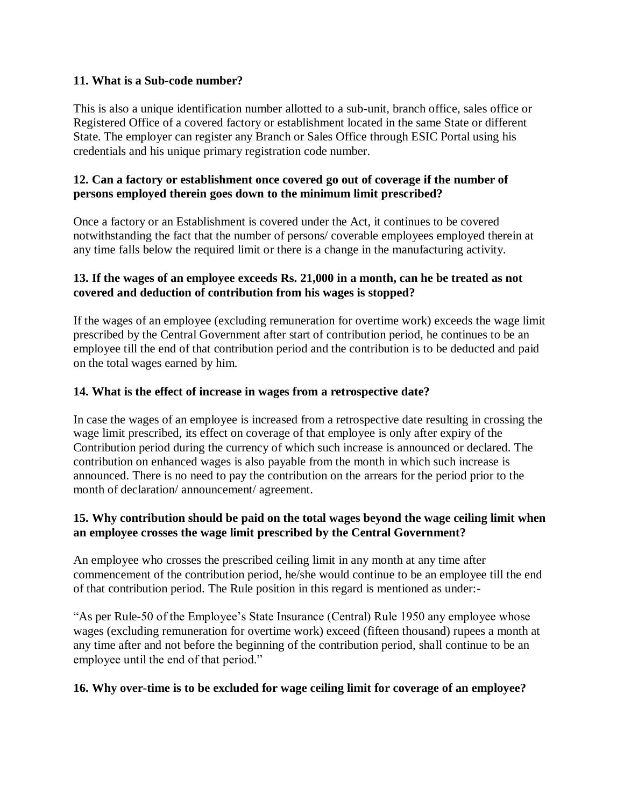#### **11. What is a Sub-code number?**

This is also a unique identification number allotted to a sub-unit, branch office, sales office or Registered Office of a covered factory or establishment located in the same State or different State. The employer can register any Branch or Sales Office through ESIC Portal using his credentials and his unique primary registration code number.

### **12. Can a factory or establishment once covered go out of coverage if the number of persons employed therein goes down to the minimum limit prescribed?**

Once a factory or an Establishment is covered under the Act, it continues to be covered notwithstanding the fact that the number of persons/ coverable employees employed therein at any time falls below the required limit or there is a change in the manufacturing activity.

### **13. If the wages of an employee exceeds Rs. 21,000 in a month, can he be treated as not covered and deduction of contribution from his wages is stopped?**

If the wages of an employee (excluding remuneration for overtime work) exceeds the wage limit prescribed by the Central Government after start of contribution period, he continues to be an employee till the end of that contribution period and the contribution is to be deducted and paid on the total wages earned by him.

### **14. What is the effect of increase in wages from a retrospective date?**

In case the wages of an employee is increased from a retrospective date resulting in crossing the wage limit prescribed, its effect on coverage of that employee is only after expiry of the Contribution period during the currency of which such increase is announced or declared. The contribution on enhanced wages is also payable from the month in which such increase is announced. There is no need to pay the contribution on the arrears for the period prior to the month of declaration/ announcement/ agreement.

### **15. Why contribution should be paid on the total wages beyond the wage ceiling limit when an employee crosses the wage limit prescribed by the Central Government?**

An employee who crosses the prescribed ceiling limit in any month at any time after commencement of the contribution period, he/she would continue to be an employee till the end of that contribution period. The Rule position in this regard is mentioned as under:-

"As per Rule-50 of the Employee's State Insurance (Central) Rule 1950 any employee whose wages (excluding remuneration for overtime work) exceed (fifteen thousand) rupees a month at any time after and not before the beginning of the contribution period, shall continue to be an employee until the end of that period."

### **16. Why over-time is to be excluded for wage ceiling limit for coverage of an employee?**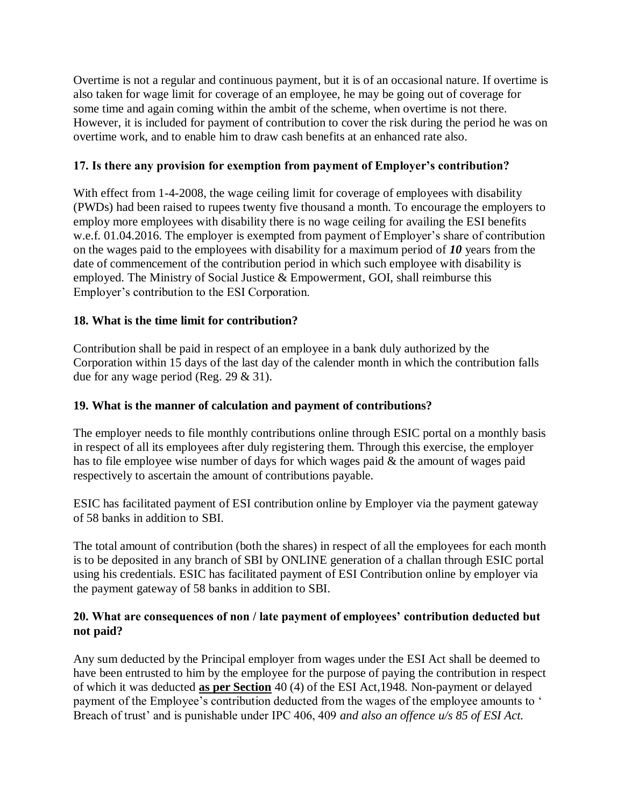Overtime is not a regular and continuous payment, but it is of an occasional nature. If overtime is also taken for wage limit for coverage of an employee, he may be going out of coverage for some time and again coming within the ambit of the scheme, when overtime is not there. However, it is included for payment of contribution to cover the risk during the period he was on overtime work, and to enable him to draw cash benefits at an enhanced rate also.

## **17. Is there any provision for exemption from payment of Employer's contribution?**

With effect from 1-4-2008, the wage ceiling limit for coverage of employees with disability (PWDs) had been raised to rupees twenty five thousand a month. To encourage the employers to employ more employees with disability there is no wage ceiling for availing the ESI benefits w.e.f. 01.04.2016. The employer is exempted from payment of Employer's share of contribution on the wages paid to the employees with disability for a maximum period of *10* years from the date of commencement of the contribution period in which such employee with disability is employed. The Ministry of Social Justice & Empowerment, GOI, shall reimburse this Employer's contribution to the ESI Corporation.

### **18. What is the time limit for contribution?**

Contribution shall be paid in respect of an employee in a bank duly authorized by the Corporation within 15 days of the last day of the calender month in which the contribution falls due for any wage period (Reg. 29 & 31).

### **19. What is the manner of calculation and payment of contributions?**

The employer needs to file monthly contributions online through ESIC portal on a monthly basis in respect of all its employees after duly registering them. Through this exercise, the employer has to file employee wise number of days for which wages paid & the amount of wages paid respectively to ascertain the amount of contributions payable.

ESIC has facilitated payment of ESI contribution online by Employer via the payment gateway of 58 banks in addition to SBI.

The total amount of contribution (both the shares) in respect of all the employees for each month is to be deposited in any branch of SBI by ONLINE generation of a challan through ESIC portal using his credentials. ESIC has facilitated payment of ESI Contribution online by employer via the payment gateway of 58 banks in addition to SBI.

### **20. What are consequences of non / late payment of employees' contribution deducted but not paid?**

Any sum deducted by the Principal employer from wages under the ESI Act shall be deemed to have been entrusted to him by the employee for the purpose of paying the contribution in respect of which it was deducted **as per Section** 40 (4) of the ESI Act,1948. Non-payment or delayed payment of the Employee's contribution deducted from the wages of the employee amounts to ' Breach of trust' and is punishable under IPC 406, 409 *and also an offence u/s 85 of ESI Act.*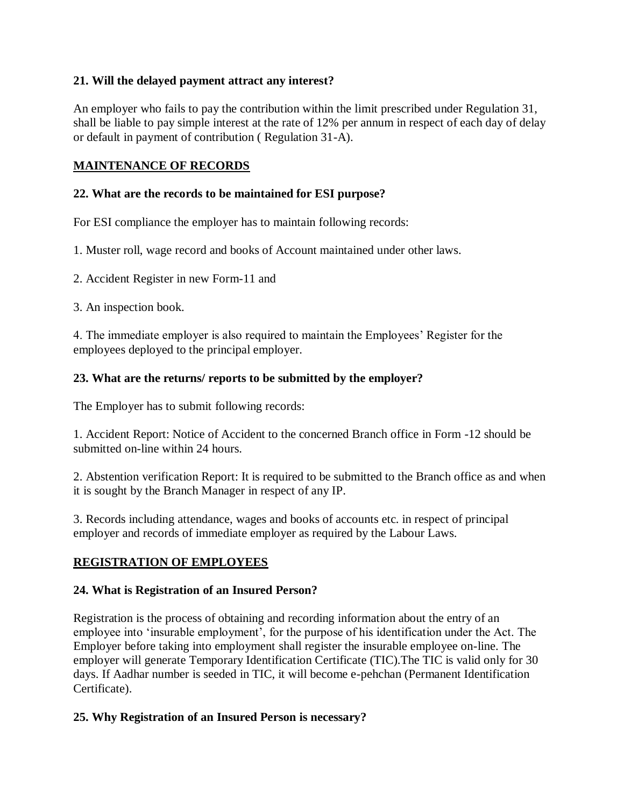### **21. Will the delayed payment attract any interest?**

An employer who fails to pay the contribution within the limit prescribed under Regulation 31, shall be liable to pay simple interest at the rate of 12% per annum in respect of each day of delay or default in payment of contribution ( Regulation 31-A).

## **MAINTENANCE OF RECORDS**

### **22. What are the records to be maintained for ESI purpose?**

For ESI compliance the employer has to maintain following records:

1. Muster roll, wage record and books of Account maintained under other laws.

2. Accident Register in new Form-11 and

3. An inspection book.

4. The immediate employer is also required to maintain the Employees' Register for the employees deployed to the principal employer.

## **23. What are the returns/ reports to be submitted by the employer?**

The Employer has to submit following records:

1. Accident Report: Notice of Accident to the concerned Branch office in Form -12 should be submitted on-line within 24 hours.

2. Abstention verification Report: It is required to be submitted to the Branch office as and when it is sought by the Branch Manager in respect of any IP.

3. Records including attendance, wages and books of accounts etc. in respect of principal employer and records of immediate employer as required by the Labour Laws.

# **REGISTRATION OF EMPLOYEES**

### **24. What is Registration of an Insured Person?**

Registration is the process of obtaining and recording information about the entry of an employee into 'insurable employment', for the purpose of his identification under the Act. The Employer before taking into employment shall register the insurable employee on-line. The employer will generate Temporary Identification Certificate (TIC).The TIC is valid only for 30 days. If Aadhar number is seeded in TIC, it will become e-pehchan (Permanent Identification Certificate).

# **25. Why Registration of an Insured Person is necessary?**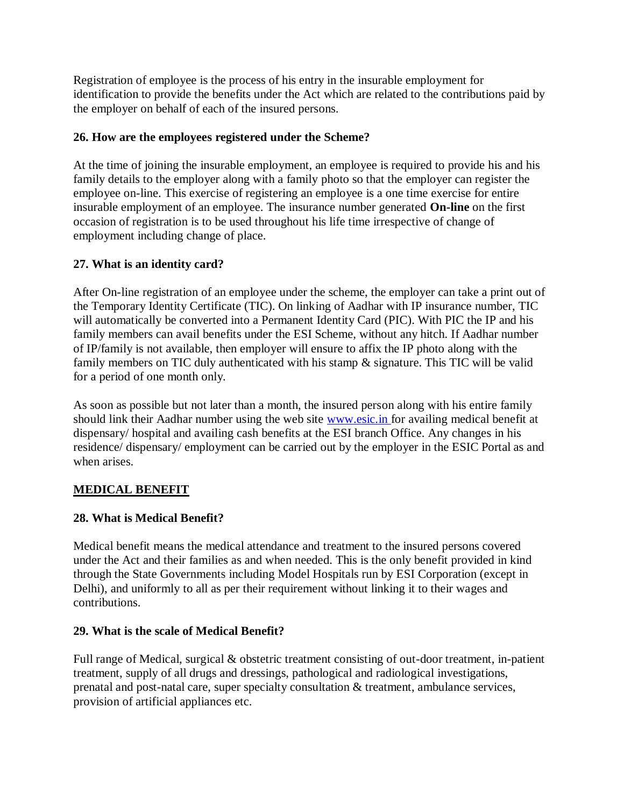Registration of employee is the process of his entry in the insurable employment for identification to provide the benefits under the Act which are related to the contributions paid by the employer on behalf of each of the insured persons.

## **26. How are the employees registered under the Scheme?**

At the time of joining the insurable employment, an employee is required to provide his and his family details to the employer along with a family photo so that the employer can register the employee on-line. This exercise of registering an employee is a one time exercise for entire insurable employment of an employee. The insurance number generated **On-line** on the first occasion of registration is to be used throughout his life time irrespective of change of employment including change of place.

# **27. What is an identity card?**

After On-line registration of an employee under the scheme, the employer can take a print out of the Temporary Identity Certificate (TIC). On linking of Aadhar with IP insurance number, TIC will automatically be converted into a Permanent Identity Card (PIC). With PIC the IP and his family members can avail benefits under the ESI Scheme, without any hitch. If Aadhar number of IP/family is not available, then employer will ensure to affix the IP photo along with the family members on TIC duly authenticated with his stamp & signature. This TIC will be valid for a period of one month only*.*

As soon as possible but not later than a month, the insured person along with his entire family should link their Aadhar number using the web site [www.esic.in f](http://www.esic.in/)or availing medical benefit at dispensary/ hospital and availing cash benefits at the ESI branch Office. Any changes in his residence/ dispensary/ employment can be carried out by the employer in the ESIC Portal as and when arises.

# **MEDICAL BENEFIT**

# **28. What is Medical Benefit?**

Medical benefit means the medical attendance and treatment to the insured persons covered under the Act and their families as and when needed. This is the only benefit provided in kind through the State Governments including Model Hospitals run by ESI Corporation (except in Delhi), and uniformly to all as per their requirement without linking it to their wages and contributions.

### **29. What is the scale of Medical Benefit?**

Full range of Medical, surgical & obstetric treatment consisting of out-door treatment, in-patient treatment, supply of all drugs and dressings, pathological and radiological investigations, prenatal and post-natal care, super specialty consultation & treatment, ambulance services, provision of artificial appliances etc.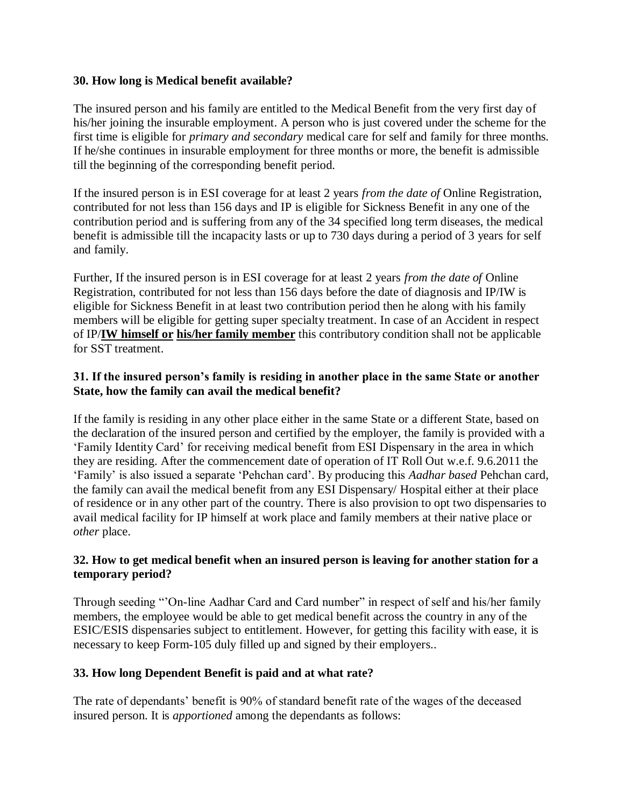#### **30. How long is Medical benefit available?**

The insured person and his family are entitled to the Medical Benefit from the very first day of his/her joining the insurable employment. A person who is just covered under the scheme for the first time is eligible for *primary and secondary* medical care for self and family for three months. If he/she continues in insurable employment for three months or more, the benefit is admissible till the beginning of the corresponding benefit period.

If the insured person is in ESI coverage for at least 2 years *from the date of* Online Registration, contributed for not less than 156 days and IP is eligible for Sickness Benefit in any one of the contribution period and is suffering from any of the 34 specified long term diseases, the medical benefit is admissible till the incapacity lasts or up to 730 days during a period of 3 years for self and family.

Further, If the insured person is in ESI coverage for at least 2 years *from the date of* Online Registration, contributed for not less than 156 days before the date of diagnosis and IP/IW is eligible for Sickness Benefit in at least two contribution period then he along with his family members will be eligible for getting super specialty treatment. In case of an Accident in respect of IP/**IW himself or his/her family member** this contributory condition shall not be applicable for SST treatment.

### **31. If the insured person's family is residing in another place in the same State or another State, how the family can avail the medical benefit?**

If the family is residing in any other place either in the same State or a different State, based on the declaration of the insured person and certified by the employer, the family is provided with a 'Family Identity Card' for receiving medical benefit from ESI Dispensary in the area in which they are residing. After the commencement date of operation of IT Roll Out w.e.f. 9.6.2011 the 'Family' is also issued a separate 'Pehchan card'. By producing this *Aadhar based* Pehchan card, the family can avail the medical benefit from any ESI Dispensary/ Hospital either at their place of residence or in any other part of the country. There is also provision to opt two dispensaries to avail medical facility for IP himself at work place and family members at their native place or *other* place.

### **32. How to get medical benefit when an insured person is leaving for another station for a temporary period?**

Through seeding "'On-line Aadhar Card and Card number" in respect of self and his/her family members, the employee would be able to get medical benefit across the country in any of the ESIC/ESIS dispensaries subject to entitlement. However, for getting this facility with ease, it is necessary to keep Form-105 duly filled up and signed by their employers..

### **33. How long Dependent Benefit is paid and at what rate?**

The rate of dependants' benefit is 90% of standard benefit rate of the wages of the deceased insured person. It is *apportioned* among the dependants as follows: